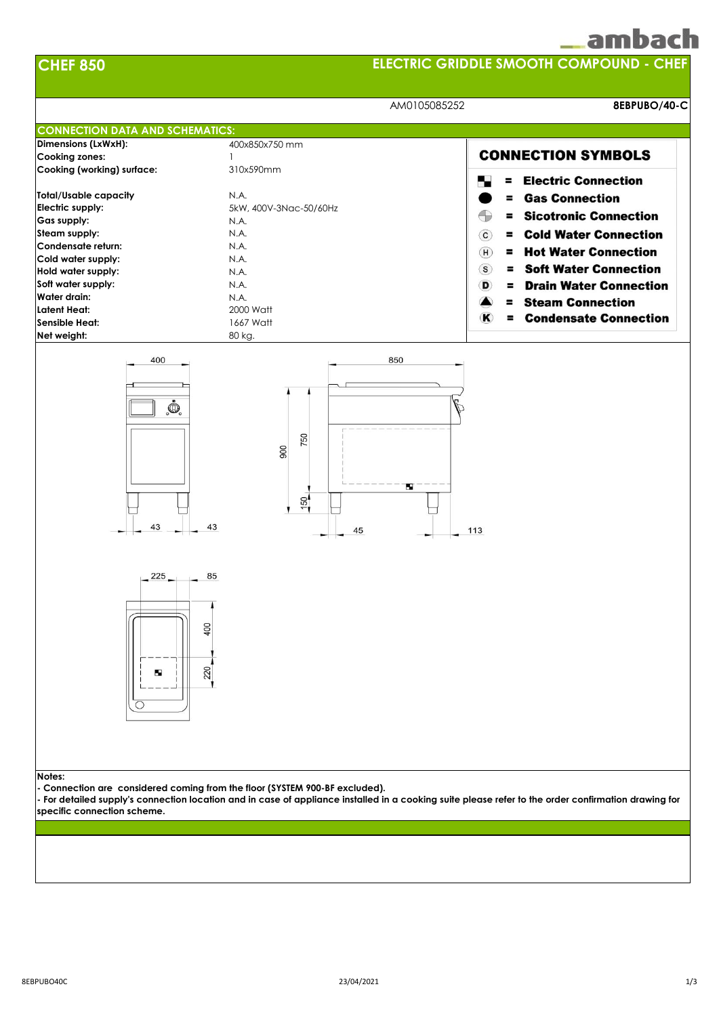## ambach



**- For detailed supply's connection location and in case of appliance installed in a cooking suite please refer to the order confirmation drawing for specific connection scheme.**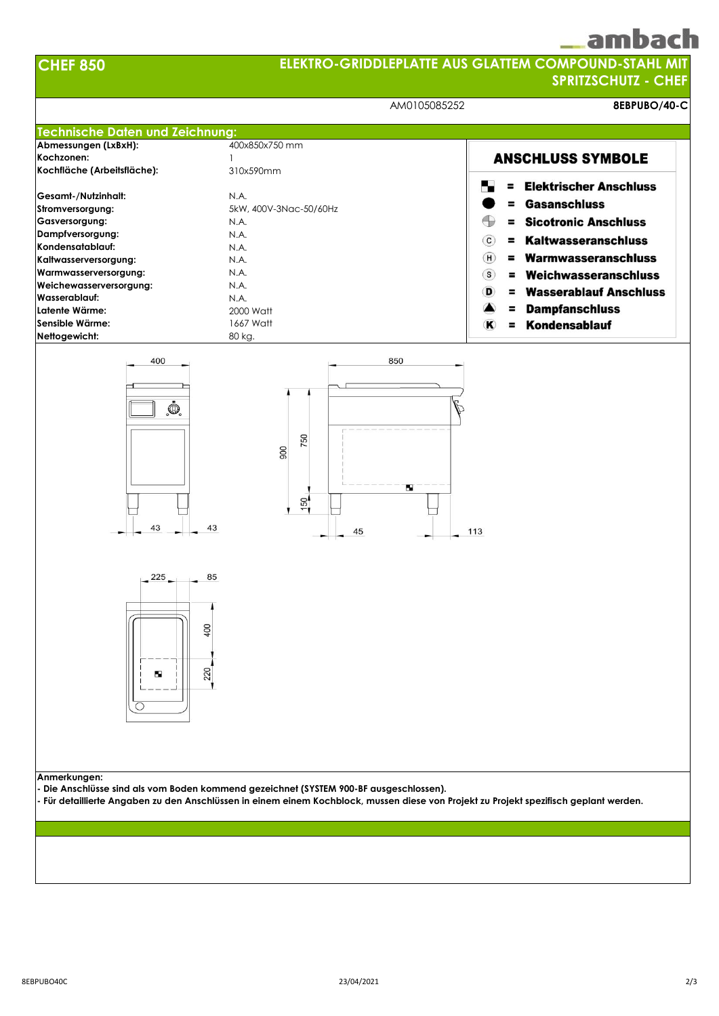## ambach



## **ELEKTRO-GRIDDLEPLATTE AUS GLATTEM COMPOUND-STAHL MIT SPRITZSCHUTZ - CHEF**

AM0105085252 **8EBPUBO/40-C**

| Abmessungen (LxBxH):        | 400x850x750 mm         |                                                        |
|-----------------------------|------------------------|--------------------------------------------------------|
| Kochzonen:                  |                        | <b>ANSCHLUSS SYMBOLE</b>                               |
| Kochfläche (Arbeitsfläche): | 310x590mm              |                                                        |
|                             |                        | $\mathbf{L}$<br><b>Elektrischer Anschluss</b>          |
| Gesamt-/Nutzinhalt:         | N.A.                   | Gasanschluss<br>=                                      |
| Stromversorgung:            | 5kW, 400V-3Nac-50/60Hz |                                                        |
| Gasversorgung:              | N.A.                   | $\bigoplus$<br><b>Sicotronic Anschluss</b><br>$\equiv$ |
| Dampfversorgung:            | N.A.                   | <b>Kaltwasseranschluss</b><br>$\mathbf{C}$<br>$\equiv$ |
| Kondensatablauf:            | N.A.                   |                                                        |
| Kaltwasserversorgung:       | N.A.                   | (H)<br>Warmwasseranschluss<br>$\equiv$                 |
| Warmwasserversorgung:       | N.A.                   | $\mathbf{s}$<br>Weichwasseranschluss<br>н              |
| Weichewasserversorgung:     | N.A.                   | D<br><b>Wasserablauf Anschluss</b><br>$\equiv$         |
| Wasserablauf:               | N.A.                   |                                                        |
| lLatente Wärme:             | 2000 Watt              | <b>Dampfanschluss</b><br>Ξ                             |
| Sensible Wärme:             | 1667 Watt              | $\infty$<br>Kondensablauf<br>=                         |
| Nettogewicht:               | 80 kg.                 |                                                        |







**Anmerkungen:**

**- Die Anschlüsse sind als vom Boden kommend gezeichnet (SYSTEM 900-BF ausgeschlossen).**

**- Für detaillierte Angaben zu den Anschlüssen in einem einem Kochblock, mussen diese von Projekt zu Projekt spezifisch geplant werden.**